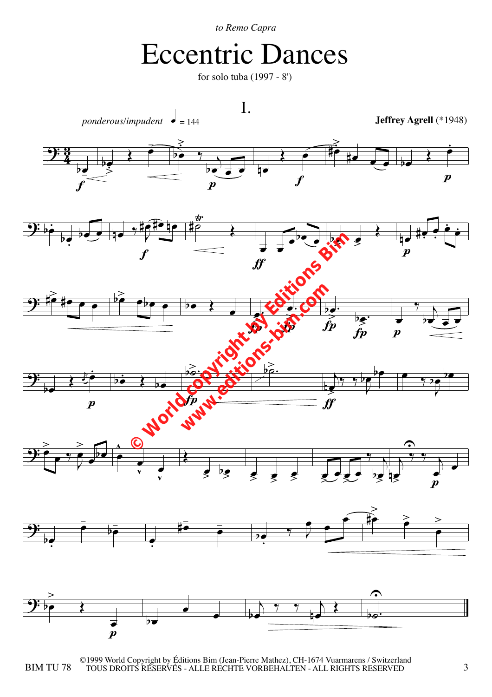*to Remo Capra*

## Eccentric Dances

for solo tuba (1997 - 8')



BIM TU 78 TOUS DROITS RÉSERVÉS - ALLE RÈCHTE VORBEHALTEN - ALL RIGHTS RESERVED  $3$ ©1999 World Copyright by Éditions Bim (Jean-Pierre Mathez), CH-1674 Vuarmarens / Switzerland TOUS DROITS RÉSERVÉS - ALLE RECHTE VORBEHALTEN - ALL RIGHTS RESERVED